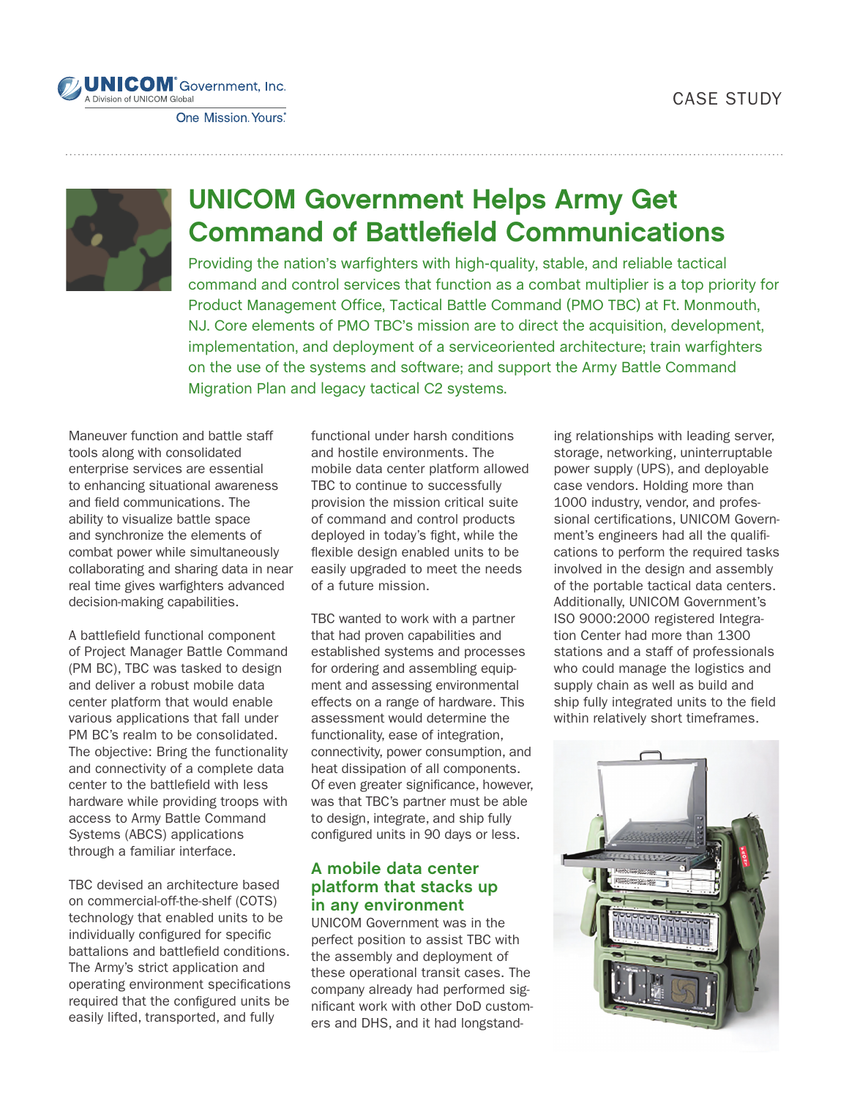## CASE STUDY



One Mission Yours.



# UNICOM Government Helps Army Get Command of Battlefield Communications

Providing the nation's warfighters with high-quality, stable, and reliable tactical command and control services that function as a combat multiplier is a top priority for Product Management Office, Tactical Battle Command (PMO TBC) at Ft. Monmouth, NJ. Core elements of PMO TBC's mission are to direct the acquisition, development, implementation, and deployment of a serviceoriented architecture; train warfighters on the use of the systems and software; and support the Army Battle Command Migration Plan and legacy tactical C2 systems.

Maneuver function and battle staff tools along with consolidated enterprise services are essential to enhancing situational awareness and field communications. The ability to visualize battle space and synchronize the elements of combat power while simultaneously collaborating and sharing data in near real time gives warfighters advanced decision-making capabilities.

A battlefield functional component of Project Manager Battle Command (PM BC), TBC was tasked to design and deliver a robust mobile data center platform that would enable various applications that fall under PM BC's realm to be consolidated. The objective: Bring the functionality and connectivity of a complete data center to the battlefield with less hardware while providing troops with access to Army Battle Command Systems (ABCS) applications through a familiar interface.

TBC devised an architecture based on commercial-off-the-shelf (COTS) technology that enabled units to be individually configured for specific battalions and battlefield conditions. The Army's strict application and operating environment specifications required that the configured units be easily lifted, transported, and fully

functional under harsh conditions and hostile environments. The mobile data center platform allowed TBC to continue to successfully provision the mission critical suite of command and control products deployed in today's fight, while the flexible design enabled units to be easily upgraded to meet the needs of a future mission.

TBC wanted to work with a partner that had proven capabilities and established systems and processes for ordering and assembling equipment and assessing environmental effects on a range of hardware. This assessment would determine the functionality, ease of integration, connectivity, power consumption, and heat dissipation of all components. Of even greater significance, however, was that TBC's partner must be able to design, integrate, and ship fully configured units in 90 days or less.

### **A mobile data center platform that stacks up in any environment**

UNICOM Government was in the perfect position to assist TBC with the assembly and deployment of these operational transit cases. The company already had performed significant work with other DoD customers and DHS, and it had longstanding relationships with leading server, storage, networking, uninterruptable power supply (UPS), and deployable case vendors. Holding more than 1000 industry, vendor, and professional certifications, UNICOM Government's engineers had all the qualifications to perform the required tasks involved in the design and assembly of the portable tactical data centers. Additionally, UNICOM Government's ISO 9000:2000 registered Integration Center had more than 1300 stations and a staff of professionals who could manage the logistics and supply chain as well as build and ship fully integrated units to the field within relatively short timeframes.